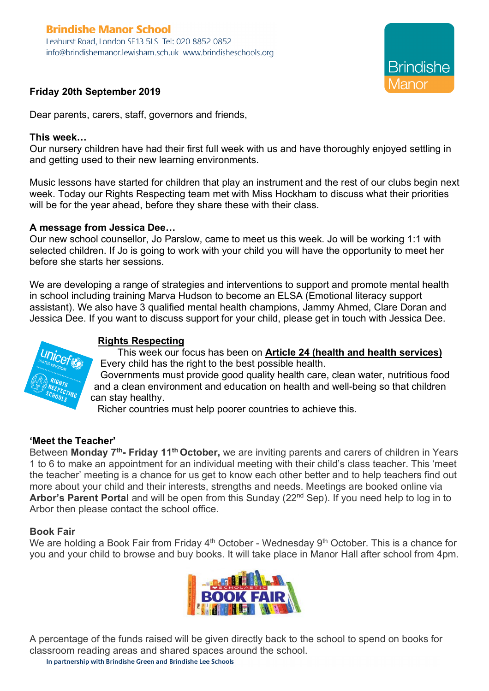# **Brindishe Manor School**

Leahurst Road, London SE13 5LS Tel: 020 8852 0852 info@brindishemanor.lewisham.sch.uk www.brindisheschools.org



## **Friday 20th September 2019**

Dear parents, carers, staff, governors and friends,

#### **This week…**

Our nursery children have had their first full week with us and have thoroughly enjoyed settling in and getting used to their new learning environments.

Music lessons have started for children that play an instrument and the rest of our clubs begin next week. Today our Rights Respecting team met with Miss Hockham to discuss what their priorities will be for the year ahead, before they share these with their class.

## **A message from Jessica Dee…**

Our new school counsellor, Jo Parslow, came to meet us this week. Jo will be working 1:1 with selected children. If Jo is going to work with your child you will have the opportunity to meet her before she starts her sessions.

We are developing a range of strategies and interventions to support and promote mental health in school including training Marva Hudson to become an ELSA (Emotional literacy support assistant). We also have 3 qualified mental health champions, Jammy Ahmed, Clare Doran and Jessica Dee. If you want to discuss support for your child, please get in touch with Jessica Dee.

# **Rights Respecting**

This week our focus has been on **Article 24 (health and health services)** Every child has the right to the best possible health.

Governments must provide good quality health care, clean water, nutritious food and a clean environment and education on health and well-being so that children can stay healthy.

Richer countries must help poorer countries to achieve this.

## **'Meet the Teacher'**

Between **Monday 7th- Friday 11th October,** we are inviting parents and carers of children in Years 1 to 6 to make an appointment for an individual meeting with their child's class teacher. This 'meet the teacher' meeting is a chance for us get to know each other better and to help teachers find out more about your child and their interests, strengths and needs. Meetings are booked online via **Arbor's Parent Portal** and will be open from this Sunday (22nd Sep). If you need help to log in to Arbor then please contact the school office.

## **Book Fair**

We are holding a Book Fair from Friday 4<sup>th</sup> October - Wednesday 9<sup>th</sup> October. This is a chance for you and your child to browse and buy books. It will take place in Manor Hall after school from 4pm.



A percentage of the funds raised will be given directly back to the school to spend on books for classroom reading areas and shared spaces around the school.

In partnership with Brindishe Green and Brindishe Lee Schools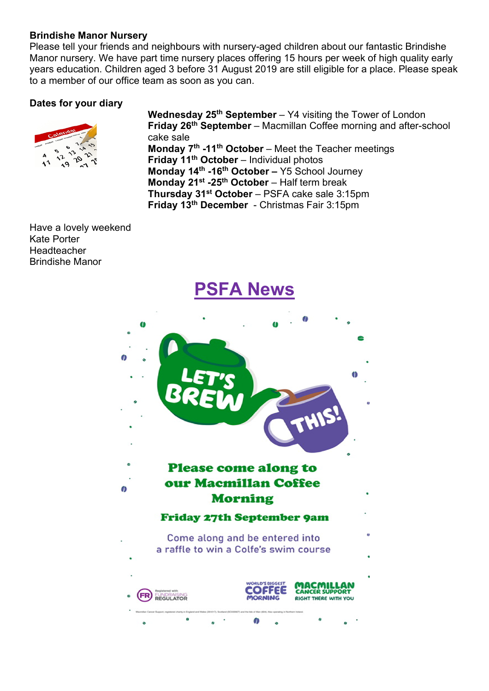## **Brindishe Manor Nursery**

Please tell your friends and neighbours with nursery-aged children about our fantastic Brindishe Manor nursery. We have part time nursery places offering 15 hours per week of high quality early years education. Children aged 3 before 31 August 2019 are still eligible for a place. Please speak to a member of our office team as soon as you can.

## **Dates for your diary**



**Wednesday 25th September** – Y4 visiting the Tower of London **Friday 26th September** – Macmillan Coffee morning and after-school cake sale **Monday 7th -11th October** – Meet the Teacher meetings **Friday 11th October** – Individual photos **Monday 14th -16th October –** Y5 School Journey **Monday 21st -25th October** – Half term break **Thursday 31st October** – PSFA cake sale 3:15pm **Friday 13th December** - Christmas Fair 3:15pm

Have a lovely weekend Kate Porter Headteacher Brindishe Manor